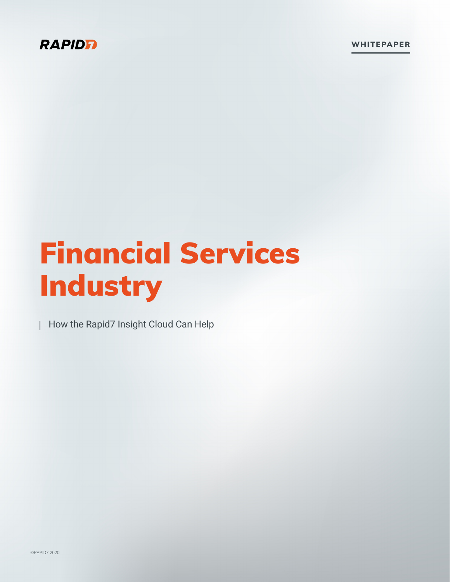### **RAPIDE**

WHITEPAPER

# Financial Services Industry

How the Rapid7 Insight Cloud Can Help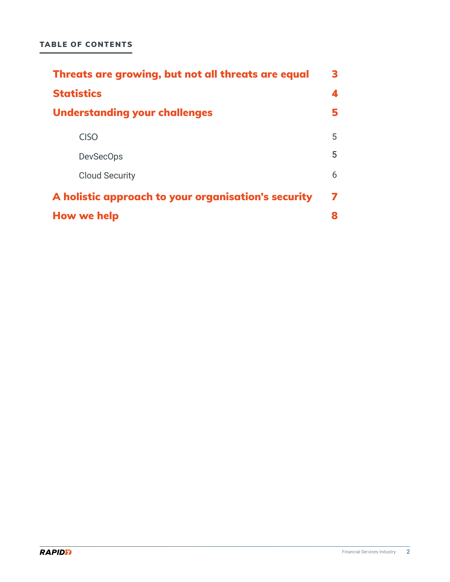| Threats are growing, but not all threats are equal  | 3 |
|-----------------------------------------------------|---|
| <b>Statistics</b>                                   | 4 |
| <b>Understanding your challenges</b>                |   |
| <b>CISO</b>                                         | 5 |
| <b>DevSecOps</b>                                    | 5 |
| <b>Cloud Security</b>                               | 6 |
| A holistic approach to your organisation's security | 7 |
| <b>How we help</b>                                  |   |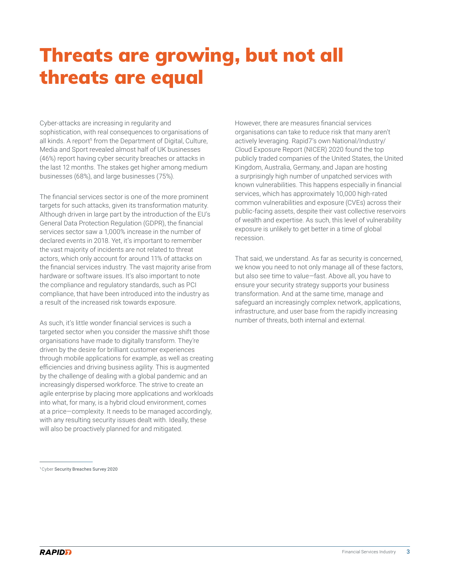## <span id="page-2-0"></span>Threats are growing, but not all threats are equal

Cyber-attacks are increasing in regularity and sophistication, with real consequences to organisations of all kinds. A report<sup>1</sup> from the Department of Digital, Culture, Media and Sport revealed almost half of UK businesses (46%) report having cyber security breaches or attacks in the last 12 months. The stakes get higher among medium businesses (68%), and large businesses (75%).

The financial services sector is one of the more prominent targets for such attacks, given its transformation maturity. Although driven in large part by the introduction of the EU's General Data Protection Regulation (GDPR), the financial services sector saw a 1,000% increase in the number of declared events in 2018. Yet, it's important to remember the vast majority of incidents are not related to threat actors, which only account for around 11% of attacks on the financial services industry. The vast majority arise from hardware or software issues. It's also important to note the compliance and regulatory standards, such as PCI compliance, that have been introduced into the industry as a result of the increased risk towards exposure.

As such, it's little wonder financial services is such a targeted sector when you consider the massive shift those organisations have made to digitally transform. They're driven by the desire for brilliant customer experiences through mobile applications for example, as well as creating efficiencies and driving business agility. This is augmented by the challenge of dealing with a global pandemic and an increasingly dispersed workforce. The strive to create an agile enterprise by placing more applications and workloads into what, for many, is a hybrid cloud environment, comes at a price—complexity. It needs to be managed accordingly, with any resulting security issues dealt with. Ideally, these will also be proactively planned for and mitigated.

However, there are measures financial services organisations can take to reduce risk that many aren't actively leveraging. Rapid7's own National/Industry/ Cloud Exposure Report (NICER) 2020 found the top publicly traded companies of the United States, the United Kingdom, Australia, Germany, and Japan are hosting a surprisingly high number of unpatched services with known vulnerabilities. This happens especially in financial services, which has approximately 10,000 high-rated common vulnerabilities and exposure (CVEs) across their public-facing assets, despite their vast collective reservoirs of wealth and expertise. As such, this level of vulnerability exposure is unlikely to get better in a time of global recession.

That said, we understand. As far as security is concerned, we know you need to not only manage all of these factors, but also see time to value—fast. Above all, you have to ensure your security strategy supports your business transformation. And at the same time, manage and safeguard an increasingly complex network, applications, infrastructure, and user base from the rapidly increasing number of threats, both internal and external.

<sup>1</sup>Cyber Security Breaches Survey 2020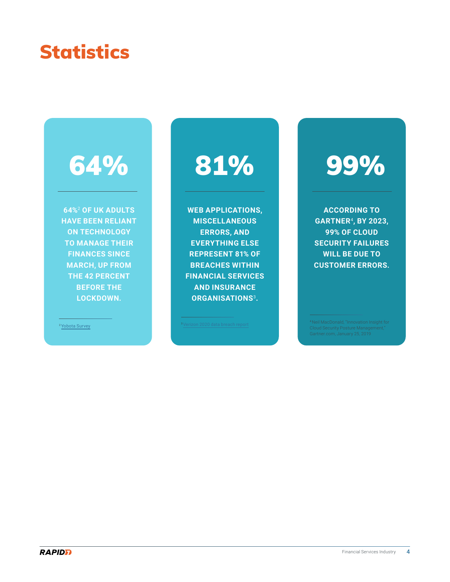### <span id="page-3-0"></span>**Statistics**

# 64%

**64%**<sup>2</sup> **OF UK ADULTS HAVE BEEN RELIANT ON TECHNOLOGY TO MANAGE THEIR FINANCES SINCE MARCH, UP FROM THE 42 PERCENT BEFORE THE LOCKDOWN.**

2 [Yobota Survey](https://www.fstech.co.uk/fst/Yobota_Survey_FinTech_Usage_During_Lockdown.php)

**WEB APPLICATIONS, MISCELLANEOUS ERRORS, AND EVERYTHING ELSE REPRESENT 81% OF BREACHES WITHIN FINANCIAL SERVICES AND INSURANCE ORGANISATIONS**<sup>3</sup>**.**

# 81% 99%

**ACCORDING TO GARTNER**<sup>4</sup>**, BY 2023, 99% OF CLOUD SECURITY FAILURES WILL BE DUE TO CUSTOMER ERRORS.**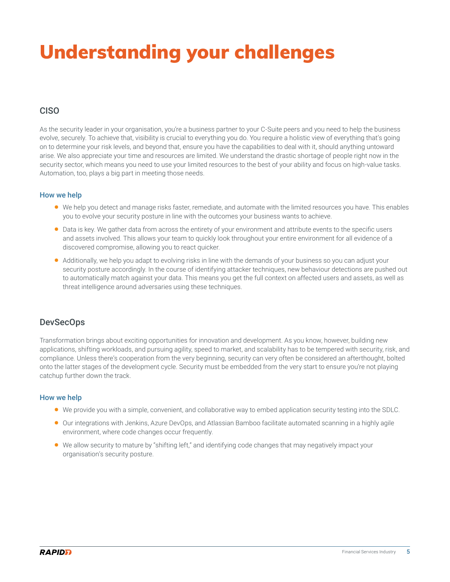# <span id="page-4-0"></span>Understanding your challenges

#### CISO

As the security leader in your organisation, you're a business partner to your C-Suite peers and you need to help the business evolve, securely. To achieve that, visibility is crucial to everything you do. You require a holistic view of everything that's going on to determine your risk levels, and beyond that, ensure you have the capabilities to deal with it, should anything untoward arise. We also appreciate your time and resources are limited. We understand the drastic shortage of people right now in the security sector, which means you need to use your limited resources to the best of your ability and focus on high-value tasks. Automation, too, plays a big part in meeting those needs.

#### How we help

- We help you detect and manage risks faster, remediate, and automate with the limited resources you have. This enables you to evolve your security posture in line with the outcomes your business wants to achieve.
- Data is key. We gather data from across the entirety of your environment and attribute events to the specific users and assets involved. This allows your team to quickly look throughout your entire environment for all evidence of a discovered compromise, allowing you to react quicker.
- Additionally, we help you adapt to evolving risks in line with the demands of your business so you can adjust your security posture accordingly. In the course of identifying attacker techniques, new behaviour detections are pushed out to automatically match against your data. This means you get the full context on affected users and assets, as well as threat intelligence around adversaries using these techniques.

#### DevSecOps

Transformation brings about exciting opportunities for innovation and development. As you know, however, building new applications, shifting workloads, and pursuing agility, speed to market, and scalability has to be tempered with security, risk, and compliance. Unless there's cooperation from the very beginning, security can very often be considered an afterthought, bolted onto the latter stages of the development cycle. Security must be embedded from the very start to ensure you're not playing catchup further down the track.

#### How we help

- We provide you with a simple, convenient, and collaborative way to embed application security testing into the SDLC.
- Our integrations with Jenkins, Azure DevOps, and Atlassian Bamboo facilitate automated scanning in a highly agile environment, where code changes occur frequently.
- We allow security to mature by "shifting left," and identifying code changes that may negatively impact your organisation's security posture.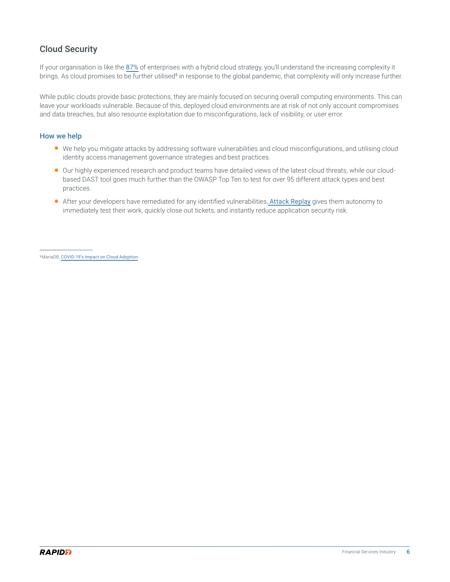#### <span id="page-5-0"></span>Cloud Security

If your organisation is like the [87%](https://www.flexera.com/blog/industry-trends/trend-of-cloud-computing-2020/) of enterprises with a hybrid cloud strategy, you'll understand the increasing complexity it brings. As cloud promises to be further utilised<sup>5</sup> in response to the global pandemic, that complexity will only increase further.

While public clouds provide basic protections, they are mainly focused on securing overall computing environments. This can leave your workloads vulnerable. Because of this, deployed cloud environments are at risk of not only account compromises and data breaches, but also resource exploitation due to misconfigurations, lack of visibility, or user error.

#### How we help

- We help you mitigate attacks by addressing software vulnerabilities and cloud misconfigurations, and utilising cloud identity access management governance strategies and best practices.
- Our highly experienced research and product teams have detailed views of the latest cloud threats, while our cloudbased DAST tool goes much further than the OWASP Top Ten to test for over 95 different attack types and best practices.
- After your developers have remediated for any identified vulnerabilities, [Attack Replay](https://www.rapid7.com/products/insightappsec/features/attack-replay/) gives them autonomy to immediately test their work, quickly close out tickets, and instantly reduce application security risk.

<sup>5</sup> MariaDB, [COVID-19's Impact on Cloud Adoption](https://mariadb.com/newsroom/press-releases/mariadb-survey-reveals-covid-19s-impact-on-cloud-adoption/)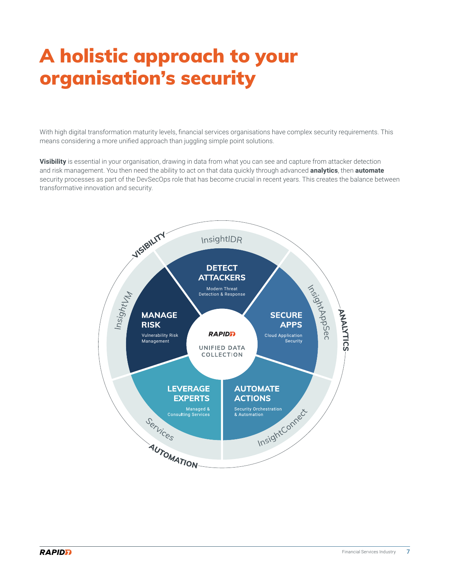# <span id="page-6-0"></span>A holistic approach to your organisation's security

With high digital transformation maturity levels, financial services organisations have complex security requirements. This means considering a more unified approach than juggling simple point solutions.

**Visibility** is essential in your organisation, drawing in data from what you can see and capture from attacker detection and risk management. You then need the ability to act on that data quickly through advanced **analytics**, then **automate** security processes as part of the DevSecOps role that has become crucial in recent years. This creates the balance between transformative innovation and security.